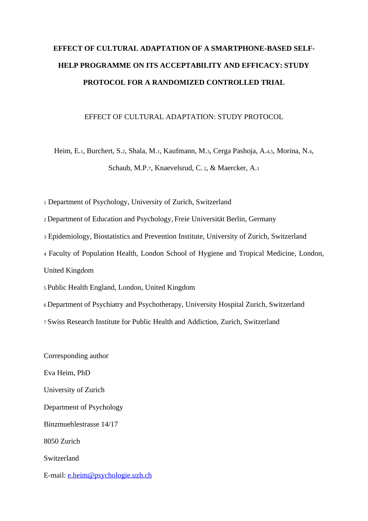# **EFFECT OF CULTURAL ADAPTATION OF A SMARTPHONE-BASED SELF-HELP PROGRAMME ON ITS ACCEPTABILITY AND EFFICACY: STUDY PROTOCOL FOR A RANDOMIZED CONTROLLED TRIAL**

#### EFFECT OF CULTURAL ADAPTATION: STUDY PROTOCOL

Heim, E.1, Burchert, S.2, Shala, M.1, Kaufmann, M.3, Cerga Pashoja, A.4,5, Morina, N.6, Schaub, M.P.7, Knaevelsrud, C. <sup>2</sup>, & Maercker, A.<sup>1</sup>

<sup>1</sup> Department of Psychology, University of Zurich, Switzerland

<sup>2</sup>Department of Education and Psychology, Freie Universität Berlin, Germany

<sup>3</sup> Epidemiology, Biostatistics and Prevention Institute, University of Zurich, Switzerland

<sup>4</sup> Faculty of Population Health, London School of Hygiene and Tropical Medicine, London,

United Kingdom

<sup>5</sup>Public Health England, London, United Kingdom

<sup>6</sup>Department of Psychiatry and Psychotherapy, University Hospital Zurich, Switzerland

<sup>7</sup>Swiss Research Institute for Public Health and Addiction, Zurich, Switzerland

Corresponding author Eva Heim, PhD University of Zurich Department of Psychology Binzmuehlestrasse 14/17 8050 Zurich Switzerland E-mail: [e.heim@psychologie.uzh.ch](mailto:e.heim@psychologie.uzh.ch)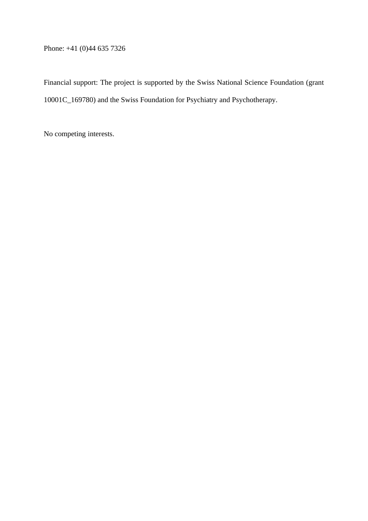Phone: +41 (0)44 635 7326

Financial support: The project is supported by the Swiss National Science Foundation (grant 10001C\_169780) and the Swiss Foundation for Psychiatry and Psychotherapy.

No competing interests.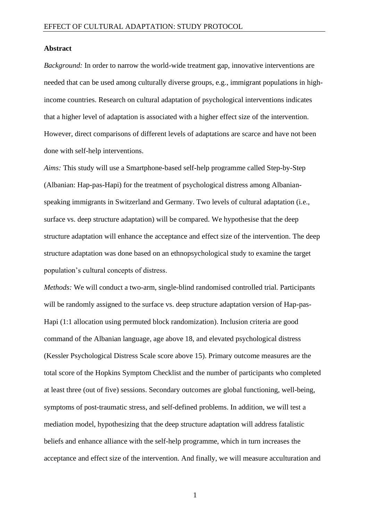#### **Abstract**

*Background:* In order to narrow the world-wide treatment gap, innovative interventions are needed that can be used among culturally diverse groups, e.g., immigrant populations in highincome countries. Research on cultural adaptation of psychological interventions indicates that a higher level of adaptation is associated with a higher effect size of the intervention. However, direct comparisons of different levels of adaptations are scarce and have not been done with self-help interventions.

*Aims:* This study will use a Smartphone-based self-help programme called Step-by-Step (Albanian: Hap-pas-Hapi) for the treatment of psychological distress among Albanianspeaking immigrants in Switzerland and Germany. Two levels of cultural adaptation (i.e., surface vs. deep structure adaptation) will be compared. We hypothesise that the deep structure adaptation will enhance the acceptance and effect size of the intervention. The deep structure adaptation was done based on an ethnopsychological study to examine the target population's cultural concepts of distress.

*Methods:* We will conduct a two-arm, single-blind randomised controlled trial. Participants will be randomly assigned to the surface vs. deep structure adaptation version of Hap-pas-Hapi (1:1 allocation using permuted block randomization). Inclusion criteria are good command of the Albanian language, age above 18, and elevated psychological distress (Kessler Psychological Distress Scale score above 15). Primary outcome measures are the total score of the Hopkins Symptom Checklist and the number of participants who completed at least three (out of five) sessions. Secondary outcomes are global functioning, well-being, symptoms of post-traumatic stress, and self-defined problems. In addition, we will test a mediation model, hypothesizing that the deep structure adaptation will address fatalistic beliefs and enhance alliance with the self-help programme, which in turn increases the acceptance and effect size of the intervention. And finally, we will measure acculturation and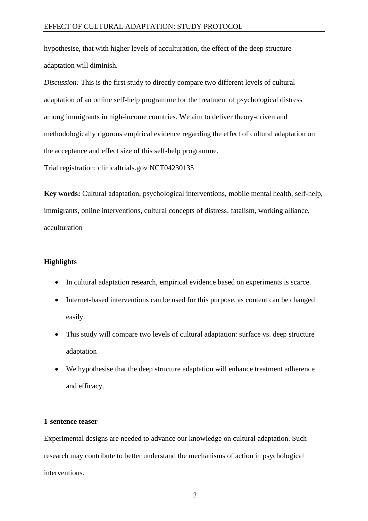hypothesise, that with higher levels of acculturation, the effect of the deep structure adaptation will diminish.

*Discussion:* This is the first study to directly compare two different levels of cultural adaptation of an online self-help programme for the treatment of psychological distress among immigrants in high-income countries. We aim to deliver theory-driven and methodologically rigorous empirical evidence regarding the effect of cultural adaptation on the acceptance and effect size of this self-help programme.

Trial registration: clinicaltrials.gov NCT04230135

**Key words:** Cultural adaptation, psychological interventions, mobile mental health, self-help, immigrants, online interventions, cultural concepts of distress, fatalism, working alliance, acculturation

# **Highlights**

- In cultural adaptation research, empirical evidence based on experiments is scarce.
- Internet-based interventions can be used for this purpose, as content can be changed easily.
- This study will compare two levels of cultural adaptation: surface vs. deep structure adaptation
- We hypothesise that the deep structure adaptation will enhance treatment adherence and efficacy.

# **1-sentence teaser**

Experimental designs are needed to advance our knowledge on cultural adaptation. Such research may contribute to better understand the mechanisms of action in psychological interventions.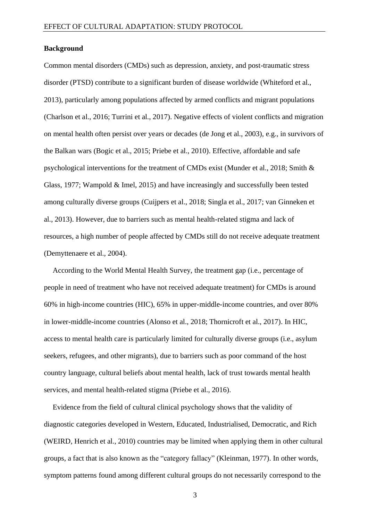#### **Background**

Common mental disorders (CMDs) such as depression, anxiety, and post-traumatic stress disorder (PTSD) contribute to a significant burden of disease worldwide (Whiteford et al., 2013), particularly among populations affected by armed conflicts and migrant populations (Charlson et al., 2016; Turrini et al., 2017). Negative effects of violent conflicts and migration on mental health often persist over years or decades (de Jong et al., 2003), e.g., in survivors of the Balkan wars (Bogic et al., 2015; Priebe et al., 2010). Effective, affordable and safe psychological interventions for the treatment of CMDs exist (Munder et al., 2018; Smith & Glass, 1977; Wampold & Imel, 2015) and have increasingly and successfully been tested among culturally diverse groups (Cuijpers et al., 2018; Singla et al., 2017; van Ginneken et al., 2013). However, due to barriers such as mental health-related stigma and lack of resources, a high number of people affected by CMDs still do not receive adequate treatment (Demyttenaere et al., 2004).

According to the World Mental Health Survey, the treatment gap (i.e., percentage of people in need of treatment who have not received adequate treatment) for CMDs is around 60% in high-income countries (HIC), 65% in upper-middle-income countries, and over 80% in lower-middle-income countries (Alonso et al., 2018; Thornicroft et al., 2017). In HIC, access to mental health care is particularly limited for culturally diverse groups (i.e., asylum seekers, refugees, and other migrants), due to barriers such as poor command of the host country language, cultural beliefs about mental health, lack of trust towards mental health services, and mental health-related stigma (Priebe et al., 2016).

Evidence from the field of cultural clinical psychology shows that the validity of diagnostic categories developed in Western, Educated, Industrialised, Democratic, and Rich (WEIRD, Henrich et al., 2010) countries may be limited when applying them in other cultural groups, a fact that is also known as the "category fallacy" (Kleinman, 1977). In other words, symptom patterns found among different cultural groups do not necessarily correspond to the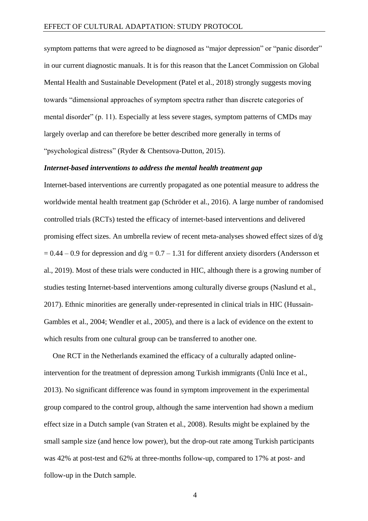symptom patterns that were agreed to be diagnosed as "major depression" or "panic disorder" in our current diagnostic manuals. It is for this reason that the Lancet Commission on Global Mental Health and Sustainable Development (Patel et al., 2018) strongly suggests moving towards "dimensional approaches of symptom spectra rather than discrete categories of mental disorder" (p. 11). Especially at less severe stages, symptom patterns of CMDs may largely overlap and can therefore be better described more generally in terms of "psychological distress" (Ryder & Chentsova-Dutton, 2015).

#### *Internet-based interventions to address the mental health treatment gap*

Internet-based interventions are currently propagated as one potential measure to address the worldwide mental health treatment gap (Schröder et al., 2016). A large number of randomised controlled trials (RCTs) tested the efficacy of internet-based interventions and delivered promising effect sizes. An umbrella review of recent meta-analyses showed effect sizes of d/g  $= 0.44 - 0.9$  for depression and  $d/g = 0.7 - 1.31$  for different anxiety disorders (Andersson et al., 2019). Most of these trials were conducted in HIC, although there is a growing number of studies testing Internet-based interventions among culturally diverse groups (Naslund et al., 2017). Ethnic minorities are generally under-represented in clinical trials in HIC (Hussain-Gambles et al., 2004; Wendler et al., 2005), and there is a lack of evidence on the extent to which results from one cultural group can be transferred to another one.

One RCT in the Netherlands examined the efficacy of a culturally adapted onlineintervention for the treatment of depression among Turkish immigrants (Ünlü Ince et al., 2013). No significant difference was found in symptom improvement in the experimental group compared to the control group, although the same intervention had shown a medium effect size in a Dutch sample (van Straten et al., 2008). Results might be explained by the small sample size (and hence low power), but the drop-out rate among Turkish participants was 42% at post-test and 62% at three-months follow-up, compared to 17% at post- and follow-up in the Dutch sample.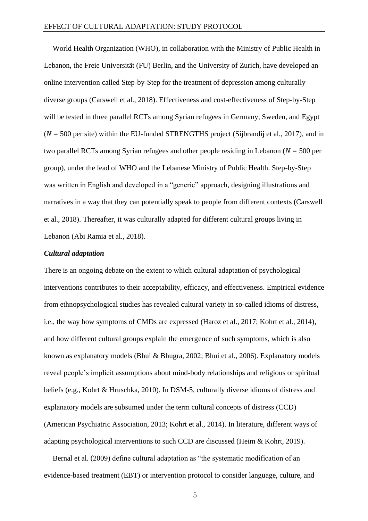World Health Organization (WHO), in collaboration with the Ministry of Public Health in Lebanon, the Freie Universität (FU) Berlin, and the University of Zurich, have developed an online intervention called Step-by-Step for the treatment of depression among culturally diverse groups (Carswell et al., 2018). Effectiveness and cost-effectiveness of Step-by-Step will be tested in three parallel RCTs among Syrian refugees in Germany, Sweden, and Egypt (*N =* 500 per site) within the EU-funded STRENGTHS project (Sijbrandij et al., 2017), and in two parallel RCTs among Syrian refugees and other people residing in Lebanon (*N =* 500 per group), under the lead of WHO and the Lebanese Ministry of Public Health. Step-by-Step was written in English and developed in a "generic" approach, designing illustrations and narratives in a way that they can potentially speak to people from different contexts (Carswell et al., 2018). Thereafter, it was culturally adapted for different cultural groups living in Lebanon (Abi Ramia et al., 2018).

# *Cultural adaptation*

There is an ongoing debate on the extent to which cultural adaptation of psychological interventions contributes to their acceptability, efficacy, and effectiveness. Empirical evidence from ethnopsychological studies has revealed cultural variety in so-called idioms of distress, i.e., the way how symptoms of CMDs are expressed (Haroz et al., 2017; Kohrt et al., 2014), and how different cultural groups explain the emergence of such symptoms, which is also known as explanatory models (Bhui & Bhugra, 2002; Bhui et al., 2006). Explanatory models reveal people's implicit assumptions about mind-body relationships and religious or spiritual beliefs (e.g., Kohrt & Hruschka, 2010). In DSM-5, culturally diverse idioms of distress and explanatory models are subsumed under the term cultural concepts of distress (CCD) (American Psychiatric Association, 2013; Kohrt et al., 2014). In literature, different ways of adapting psychological interventions to such CCD are discussed (Heim & Kohrt, 2019).

Bernal et al. (2009) define cultural adaptation as "the systematic modification of an evidence-based treatment (EBT) or intervention protocol to consider language, culture, and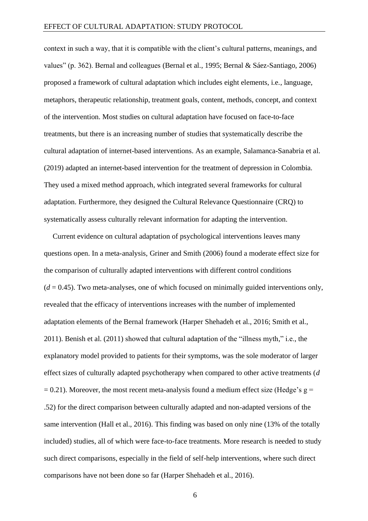context in such a way, that it is compatible with the client's cultural patterns, meanings, and values" (p. 362). Bernal and colleagues (Bernal et al., 1995; Bernal & Sáez-Santiago, 2006) proposed a framework of cultural adaptation which includes eight elements, i.e., language, metaphors, therapeutic relationship, treatment goals, content, methods, concept, and context of the intervention. Most studies on cultural adaptation have focused on face-to-face treatments, but there is an increasing number of studies that systematically describe the cultural adaptation of internet-based interventions. As an example, Salamanca-Sanabria et al. (2019) adapted an internet-based intervention for the treatment of depression in Colombia. They used a mixed method approach, which integrated several frameworks for cultural adaptation. Furthermore, they designed the Cultural Relevance Questionnaire (CRQ) to systematically assess culturally relevant information for adapting the intervention.

Current evidence on cultural adaptation of psychological interventions leaves many questions open. In a meta-analysis, Griner and Smith (2006) found a moderate effect size for the comparison of culturally adapted interventions with different control conditions  $(d = 0.45)$ . Two meta-analyses, one of which focused on minimally guided interventions only, revealed that the efficacy of interventions increases with the number of implemented adaptation elements of the Bernal framework (Harper Shehadeh et al., 2016; Smith et al., 2011). Benish et al. (2011) showed that cultural adaptation of the "illness myth," i.e., the explanatory model provided to patients for their symptoms, was the sole moderator of larger effect sizes of culturally adapted psychotherapy when compared to other active treatments (*d*  $= 0.21$ ). Moreover, the most recent meta-analysis found a medium effect size (Hedge's g = .52) for the direct comparison between culturally adapted and non-adapted versions of the same intervention (Hall et al., 2016). This finding was based on only nine (13% of the totally included) studies, all of which were face-to-face treatments. More research is needed to study such direct comparisons, especially in the field of self-help interventions, where such direct comparisons have not been done so far (Harper Shehadeh et al., 2016).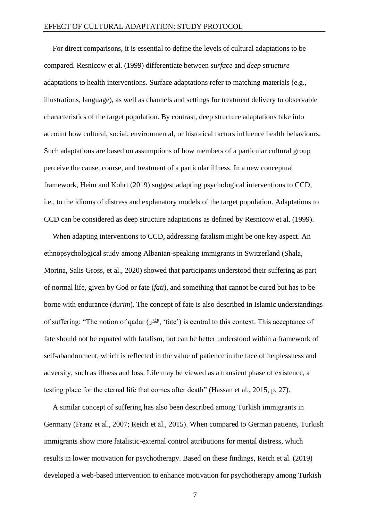For direct comparisons, it is essential to define the levels of cultural adaptations to be compared. Resnicow et al. (1999) differentiate between *surface* and *deep structure* adaptations to health interventions. Surface adaptations refer to matching materials (e.g., illustrations, language), as well as channels and settings for treatment delivery to observable characteristics of the target population. By contrast, deep structure adaptations take into account how cultural, social, environmental, or historical factors influence health behaviours. Such adaptations are based on assumptions of how members of a particular cultural group perceive the cause, course, and treatment of a particular illness. In a new conceptual framework, Heim and Kohrt (2019) suggest adapting psychological interventions to CCD, i.e., to the idioms of distress and explanatory models of the target population. Adaptations to CCD can be considered as deep structure adaptations as defined by Resnicow et al. (1999).

When adapting interventions to CCD, addressing fatalism might be one key aspect. An ethnopsychological study among Albanian-speaking immigrants in Switzerland (Shala, Morina, Salis Gross, et al., 2020) showed that participants understood their suffering as part of normal life, given by God or fate (*fati*), and something that cannot be cured but has to be borne with endurance (*durim*). The concept of fate is also described in Islamic understandings of suffering: "The notion of qadar (المَقَدَر, ' fate') is central to this context. This acceptance of fate should not be equated with fatalism, but can be better understood within a framework of self-abandonment, which is reflected in the value of patience in the face of helplessness and adversity, such as illness and loss. Life may be viewed as a transient phase of existence, a testing place for the eternal life that comes after death" (Hassan et al., 2015, p. 27).

A similar concept of suffering has also been described among Turkish immigrants in Germany (Franz et al., 2007; Reich et al., 2015). When compared to German patients, Turkish immigrants show more fatalistic-external control attributions for mental distress, which results in lower motivation for psychotherapy. Based on these findings, Reich et al. (2019) developed a web-based intervention to enhance motivation for psychotherapy among Turkish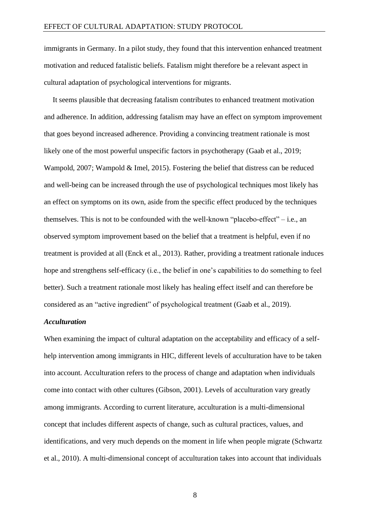immigrants in Germany. In a pilot study, they found that this intervention enhanced treatment motivation and reduced fatalistic beliefs. Fatalism might therefore be a relevant aspect in cultural adaptation of psychological interventions for migrants.

It seems plausible that decreasing fatalism contributes to enhanced treatment motivation and adherence. In addition, addressing fatalism may have an effect on symptom improvement that goes beyond increased adherence. Providing a convincing treatment rationale is most likely one of the most powerful unspecific factors in psychotherapy (Gaab et al., 2019; Wampold, 2007; Wampold & Imel, 2015). Fostering the belief that distress can be reduced and well-being can be increased through the use of psychological techniques most likely has an effect on symptoms on its own, aside from the specific effect produced by the techniques themselves. This is not to be confounded with the well-known "placebo-effect"  $-$  i.e., an observed symptom improvement based on the belief that a treatment is helpful, even if no treatment is provided at all (Enck et al., 2013). Rather, providing a treatment rationale induces hope and strengthens self-efficacy (i.e., the belief in one's capabilities to do something to feel better). Such a treatment rationale most likely has healing effect itself and can therefore be considered as an "active ingredient" of psychological treatment (Gaab et al., 2019).

#### *Acculturation*

When examining the impact of cultural adaptation on the acceptability and efficacy of a selfhelp intervention among immigrants in HIC, different levels of acculturation have to be taken into account. Acculturation refers to the process of change and adaptation when individuals come into contact with other cultures (Gibson, 2001). Levels of acculturation vary greatly among immigrants. According to current literature, acculturation is a multi-dimensional concept that includes different aspects of change, such as cultural practices, values, and identifications, and very much depends on the moment in life when people migrate (Schwartz et al., 2010). A multi-dimensional concept of acculturation takes into account that individuals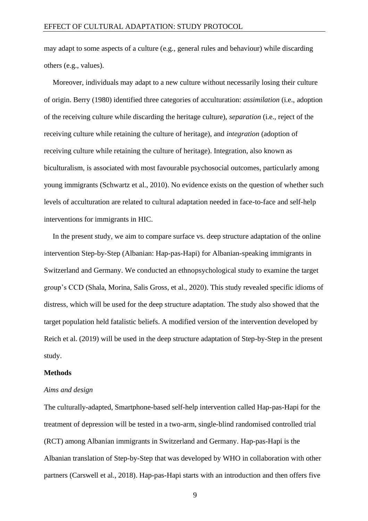may adapt to some aspects of a culture (e.g., general rules and behaviour) while discarding others (e.g., values).

Moreover, individuals may adapt to a new culture without necessarily losing their culture of origin. Berry (1980) identified three categories of acculturation: *assimilation* (i.e., adoption of the receiving culture while discarding the heritage culture), *separation* (i.e., reject of the receiving culture while retaining the culture of heritage), and *integration* (adoption of receiving culture while retaining the culture of heritage). Integration, also known as biculturalism, is associated with most favourable psychosocial outcomes, particularly among young immigrants (Schwartz et al., 2010). No evidence exists on the question of whether such levels of acculturation are related to cultural adaptation needed in face-to-face and self-help interventions for immigrants in HIC.

In the present study, we aim to compare surface vs. deep structure adaptation of the online intervention Step-by-Step (Albanian: Hap-pas-Hapi) for Albanian-speaking immigrants in Switzerland and Germany. We conducted an ethnopsychological study to examine the target group's CCD (Shala, Morina, Salis Gross, et al., 2020). This study revealed specific idioms of distress, which will be used for the deep structure adaptation. The study also showed that the target population held fatalistic beliefs. A modified version of the intervention developed by Reich et al. (2019) will be used in the deep structure adaptation of Step-by-Step in the present study.

#### **Methods**

#### *Aims and design*

The culturally-adapted, Smartphone-based self-help intervention called Hap-pas-Hapi for the treatment of depression will be tested in a two-arm, single-blind randomised controlled trial (RCT) among Albanian immigrants in Switzerland and Germany. Hap-pas-Hapi is the Albanian translation of Step-by-Step that was developed by WHO in collaboration with other partners (Carswell et al., 2018). Hap-pas-Hapi starts with an introduction and then offers five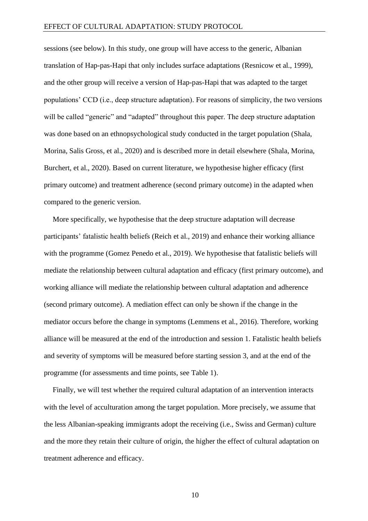sessions (see below). In this study, one group will have access to the generic, Albanian translation of Hap-pas-Hapi that only includes surface adaptations (Resnicow et al., 1999), and the other group will receive a version of Hap-pas-Hapi that was adapted to the target populations' CCD (i.e., deep structure adaptation). For reasons of simplicity, the two versions will be called "generic" and "adapted" throughout this paper. The deep structure adaptation was done based on an ethnopsychological study conducted in the target population (Shala, Morina, Salis Gross, et al., 2020) and is described more in detail elsewhere (Shala, Morina, Burchert, et al., 2020). Based on current literature, we hypothesise higher efficacy (first primary outcome) and treatment adherence (second primary outcome) in the adapted when compared to the generic version.

More specifically, we hypothesise that the deep structure adaptation will decrease participants' fatalistic health beliefs (Reich et al., 2019) and enhance their working alliance with the programme (Gomez Penedo et al., 2019). We hypothesise that fatalistic beliefs will mediate the relationship between cultural adaptation and efficacy (first primary outcome), and working alliance will mediate the relationship between cultural adaptation and adherence (second primary outcome). A mediation effect can only be shown if the change in the mediator occurs before the change in symptoms (Lemmens et al., 2016). Therefore, working alliance will be measured at the end of the introduction and session 1. Fatalistic health beliefs and severity of symptoms will be measured before starting session 3, and at the end of the programme (for assessments and time points, see Table 1).

Finally, we will test whether the required cultural adaptation of an intervention interacts with the level of acculturation among the target population. More precisely, we assume that the less Albanian-speaking immigrants adopt the receiving (i.e., Swiss and German) culture and the more they retain their culture of origin, the higher the effect of cultural adaptation on treatment adherence and efficacy.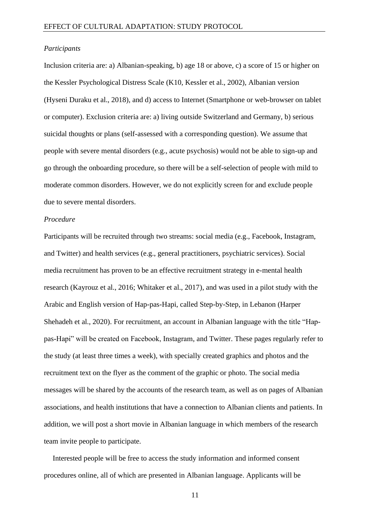#### *Participants*

Inclusion criteria are: a) Albanian-speaking, b) age 18 or above, c) a score of 15 or higher on the Kessler Psychological Distress Scale (K10, Kessler et al., 2002), Albanian version (Hyseni Duraku et al., 2018), and d) access to Internet (Smartphone or web-browser on tablet or computer). Exclusion criteria are: a) living outside Switzerland and Germany, b) serious suicidal thoughts or plans (self-assessed with a corresponding question). We assume that people with severe mental disorders (e.g., acute psychosis) would not be able to sign-up and go through the onboarding procedure, so there will be a self-selection of people with mild to moderate common disorders. However, we do not explicitly screen for and exclude people due to severe mental disorders.

# *Procedure*

Participants will be recruited through two streams: social media (e.g., Facebook, Instagram, and Twitter) and health services (e.g., general practitioners, psychiatric services). Social media recruitment has proven to be an effective recruitment strategy in e-mental health research (Kayrouz et al., 2016; Whitaker et al., 2017), and was used in a pilot study with the Arabic and English version of Hap-pas-Hapi, called Step-by-Step, in Lebanon (Harper Shehadeh et al., 2020). For recruitment, an account in Albanian language with the title "Happas-Hapi" will be created on Facebook, Instagram, and Twitter. These pages regularly refer to the study (at least three times a week), with specially created graphics and photos and the recruitment text on the flyer as the comment of the graphic or photo. The social media messages will be shared by the accounts of the research team, as well as on pages of Albanian associations, and health institutions that have a connection to Albanian clients and patients. In addition, we will post a short movie in Albanian language in which members of the research team invite people to participate.

Interested people will be free to access the study information and informed consent procedures online, all of which are presented in Albanian language. Applicants will be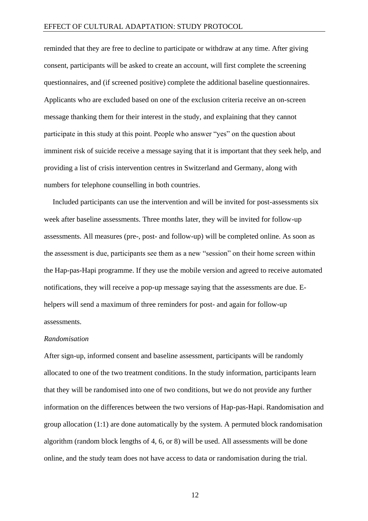reminded that they are free to decline to participate or withdraw at any time. After giving consent, participants will be asked to create an account, will first complete the screening questionnaires, and (if screened positive) complete the additional baseline questionnaires. Applicants who are excluded based on one of the exclusion criteria receive an on-screen message thanking them for their interest in the study, and explaining that they cannot participate in this study at this point. People who answer "yes" on the question about imminent risk of suicide receive a message saying that it is important that they seek help, and providing a list of crisis intervention centres in Switzerland and Germany, along with numbers for telephone counselling in both countries.

Included participants can use the intervention and will be invited for post-assessments six week after baseline assessments. Three months later, they will be invited for follow-up assessments. All measures (pre-, post- and follow-up) will be completed online. As soon as the assessment is due, participants see them as a new "session" on their home screen within the Hap-pas-Hapi programme. If they use the mobile version and agreed to receive automated notifications, they will receive a pop-up message saying that the assessments are due. Ehelpers will send a maximum of three reminders for post- and again for follow-up assessments.

#### *Randomisation*

After sign-up, informed consent and baseline assessment, participants will be randomly allocated to one of the two treatment conditions. In the study information, participants learn that they will be randomised into one of two conditions, but we do not provide any further information on the differences between the two versions of Hap-pas-Hapi. Randomisation and group allocation (1:1) are done automatically by the system. A permuted block randomisation algorithm (random block lengths of 4, 6, or 8) will be used. All assessments will be done online, and the study team does not have access to data or randomisation during the trial.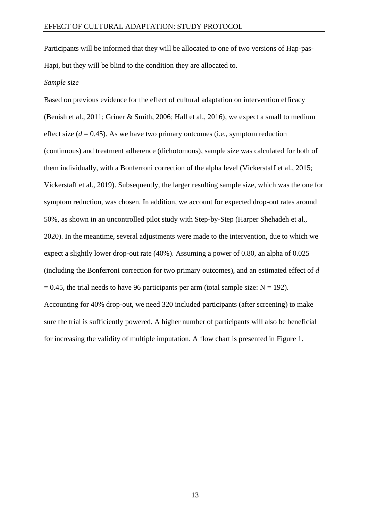Participants will be informed that they will be allocated to one of two versions of Hap-pas-Hapi, but they will be blind to the condition they are allocated to.

#### *Sample size*

Based on previous evidence for the effect of cultural adaptation on intervention efficacy (Benish et al., 2011; Griner & Smith, 2006; Hall et al., 2016), we expect a small to medium effect size  $(d = 0.45)$ . As we have two primary outcomes (i.e., symptom reduction (continuous) and treatment adherence (dichotomous), sample size was calculated for both of them individually, with a Bonferroni correction of the alpha level (Vickerstaff et al., 2015; Vickerstaff et al., 2019). Subsequently, the larger resulting sample size, which was the one for symptom reduction, was chosen. In addition, we account for expected drop-out rates around 50%, as shown in an uncontrolled pilot study with Step-by-Step (Harper Shehadeh et al., 2020). In the meantime, several adjustments were made to the intervention, due to which we expect a slightly lower drop-out rate (40%). Assuming a power of 0.80, an alpha of 0.025 (including the Bonferroni correction for two primary outcomes), and an estimated effect of *d*   $= 0.45$ , the trial needs to have 96 participants per arm (total sample size: N = 192). Accounting for 40% drop-out, we need 320 included participants (after screening) to make sure the trial is sufficiently powered. A higher number of participants will also be beneficial for increasing the validity of multiple imputation. A flow chart is presented in Figure 1.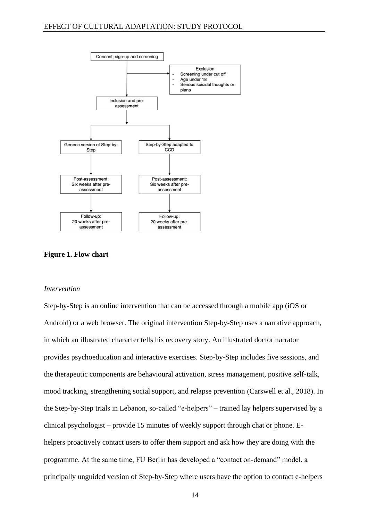

**Figure 1. Flow chart**

#### *Intervention*

Step-by-Step is an online intervention that can be accessed through a mobile app (iOS or Android) or a web browser. The original intervention Step-by-Step uses a narrative approach, in which an illustrated character tells his recovery story. An illustrated doctor narrator provides psychoeducation and interactive exercises. Step-by-Step includes five sessions, and the therapeutic components are behavioural activation, stress management, positive self-talk, mood tracking, strengthening social support, and relapse prevention (Carswell et al., 2018). In the Step-by-Step trials in Lebanon, so-called "e-helpers" – trained lay helpers supervised by a clinical psychologist – provide 15 minutes of weekly support through chat or phone. Ehelpers proactively contact users to offer them support and ask how they are doing with the programme. At the same time, FU Berlin has developed a "contact on-demand" model, a principally unguided version of Step-by-Step where users have the option to contact e-helpers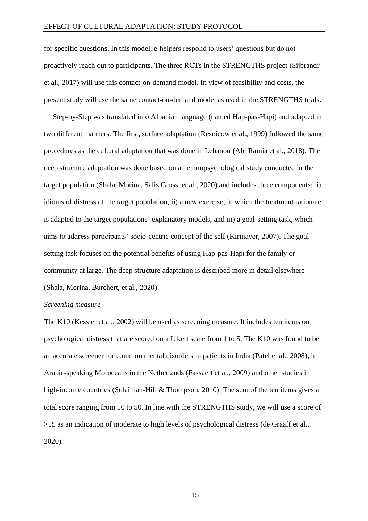for specific questions. In this model, e-helpers respond to users' questions but do not proactively reach out to participants. The three RCTs in the STRENGTHS project (Sijbrandij et al., 2017) will use this contact-on-demand model. In view of feasibility and costs, the present study will use the same contact-on-demand model as used in the STRENGTHS trials.

Step-by-Step was translated into Albanian language (named Hap-pas-Hapi) and adapted in two different manners. The first, surface adaptation (Resnicow et al., 1999) followed the same procedures as the cultural adaptation that was done in Lebanon (Abi Ramia et al., 2018). The deep structure adaptation was done based on an ethnopsychological study conducted in the target population (Shala, Morina, Salis Gross, et al., 2020) and includes three components: i) idioms of distress of the target population, ii) a new exercise, in which the treatment rationale is adapted to the target populations' explanatory models, and iii) a goal-setting task, which aims to address participants' socio-centric concept of the self (Kirmayer, 2007). The goalsetting task focuses on the potential benefits of using Hap-pas-Hapi for the family or community at large. The deep structure adaptation is described more in detail elsewhere (Shala, Morina, Burchert, et al., 2020).

# *Screening measure*

The K10 (Kessler et al., 2002) will be used as screening measure. It includes ten items on psychological distress that are scored on a Likert scale from 1 to 5. The K10 was found to be an accurate screener for common mental disorders in patients in India (Patel et al., 2008), in Arabic-speaking Moroccans in the Netherlands (Fassaert et al., 2009) and other studies in high-income countries (Sulaiman-Hill & Thompson, 2010). The sum of the ten items gives a total score ranging from 10 to 50. In line with the STRENGTHS study, we will use a score of >15 as an indication of moderate to high levels of psychological distress (de Graaff et al., 2020).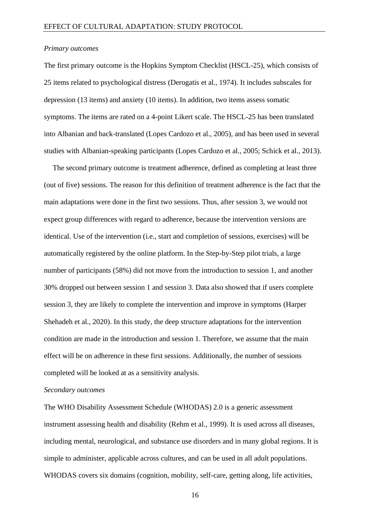#### *Primary outcomes*

The first primary outcome is the Hopkins Symptom Checklist (HSCL-25), which consists of 25 items related to psychological distress (Derogatis et al., 1974). It includes subscales for depression (13 items) and anxiety (10 items). In addition, two items assess somatic symptoms. The items are rated on a 4-point Likert scale. The HSCL-25 has been translated into Albanian and back-translated (Lopes Cardozo et al., 2005), and has been used in several studies with Albanian-speaking participants (Lopes Cardozo et al., 2005; Schick et al., 2013).

The second primary outcome is treatment adherence, defined as completing at least three (out of five) sessions. The reason for this definition of treatment adherence is the fact that the main adaptations were done in the first two sessions. Thus, after session 3, we would not expect group differences with regard to adherence, because the intervention versions are identical. Use of the intervention (i.e., start and completion of sessions, exercises) will be automatically registered by the online platform. In the Step-by-Step pilot trials, a large number of participants (58%) did not move from the introduction to session 1, and another 30% dropped out between session 1 and session 3. Data also showed that if users complete session 3, they are likely to complete the intervention and improve in symptoms (Harper Shehadeh et al., 2020). In this study, the deep structure adaptations for the intervention condition are made in the introduction and session 1. Therefore, we assume that the main effect will be on adherence in these first sessions. Additionally, the number of sessions completed will be looked at as a sensitivity analysis.

# *Secondary outcomes*

The WHO Disability Assessment Schedule (WHODAS) 2.0 is a generic assessment instrument assessing health and disability (Rehm et al., 1999). It is used across all diseases, including mental, neurological, and substance use disorders and in many global regions. It is simple to administer, applicable across cultures, and can be used in all adult populations. WHODAS covers six domains (cognition, mobility, self-care, getting along, life activities,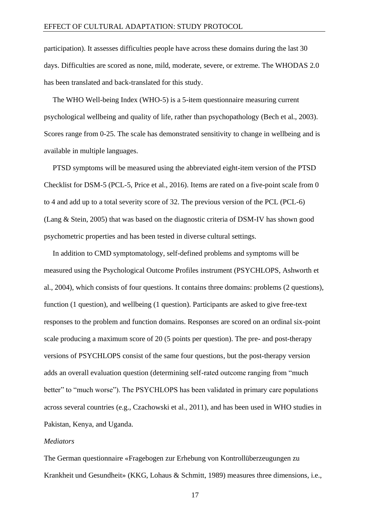participation). It assesses difficulties people have across these domains during the last 30 days. Difficulties are scored as none, mild, moderate, severe, or extreme. The WHODAS 2.0 has been translated and back-translated for this study.

The WHO Well-being Index (WHO-5) is a 5-item questionnaire measuring current psychological wellbeing and quality of life, rather than psychopathology (Bech et al., 2003). Scores range from 0-25. The scale has demonstrated sensitivity to change in wellbeing and is available in multiple languages.

PTSD symptoms will be measured using the abbreviated eight-item version of the PTSD Checklist for DSM-5 (PCL-5, Price et al., 2016). Items are rated on a five-point scale from 0 to 4 and add up to a total severity score of 32. The previous version of the PCL (PCL-6) (Lang & Stein, 2005) that was based on the diagnostic criteria of DSM-IV has shown good psychometric properties and has been tested in diverse cultural settings.

In addition to CMD symptomatology, self-defined problems and symptoms will be measured using the Psychological Outcome Profiles instrument (PSYCHLOPS, Ashworth et al., 2004), which consists of four questions. It contains three domains: problems (2 questions), function (1 question), and wellbeing (1 question). Participants are asked to give free-text responses to the problem and function domains. Responses are scored on an ordinal six-point scale producing a maximum score of 20 (5 points per question). The pre- and post-therapy versions of PSYCHLOPS consist of the same four questions, but the post-therapy version adds an overall evaluation question (determining self-rated outcome ranging from "much better" to "much worse"). The PSYCHLOPS has been validated in primary care populations across several countries (e.g., Czachowski et al., 2011), and has been used in WHO studies in Pakistan, Kenya, and Uganda.

# *Mediators*

The German questionnaire «Fragebogen zur Erhebung von Kontrollüberzeugungen zu Krankheit und Gesundheit» (KKG, Lohaus & Schmitt, 1989) measures three dimensions, i.e.,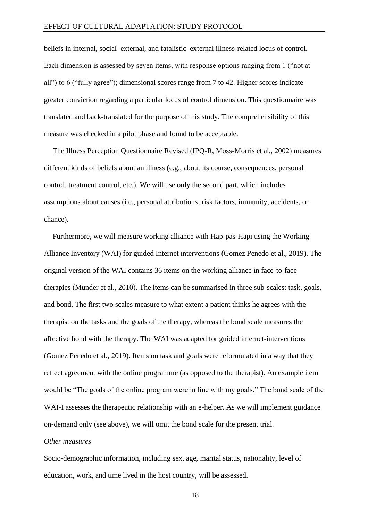beliefs in internal, social–external, and fatalistic–external illness-related locus of control. Each dimension is assessed by seven items, with response options ranging from 1 ("not at all") to 6 ("fully agree"); dimensional scores range from 7 to 42. Higher scores indicate greater conviction regarding a particular locus of control dimension. This questionnaire was translated and back-translated for the purpose of this study. The comprehensibility of this measure was checked in a pilot phase and found to be acceptable.

The Illness Perception Questionnaire Revised (IPQ-R, Moss-Morris et al., 2002) measures different kinds of beliefs about an illness (e.g., about its course, consequences, personal control, treatment control, etc.). We will use only the second part, which includes assumptions about causes (i.e., personal attributions, risk factors, immunity, accidents, or chance).

Furthermore, we will measure working alliance with Hap-pas-Hapi using the Working Alliance Inventory (WAI) for guided Internet interventions (Gomez Penedo et al., 2019). The original version of the WAI contains 36 items on the working alliance in face-to-face therapies (Munder et al., 2010). The items can be summarised in three sub-scales: task, goals, and bond. The first two scales measure to what extent a patient thinks he agrees with the therapist on the tasks and the goals of the therapy, whereas the bond scale measures the affective bond with the therapy. The WAI was adapted for guided internet-interventions (Gomez Penedo et al., 2019). Items on task and goals were reformulated in a way that they reflect agreement with the online programme (as opposed to the therapist). An example item would be "The goals of the online program were in line with my goals." The bond scale of the WAI-I assesses the therapeutic relationship with an e-helper. As we will implement guidance on-demand only (see above), we will omit the bond scale for the present trial.

# *Other measures*

Socio-demographic information, including sex, age, marital status, nationality, level of education, work, and time lived in the host country, will be assessed.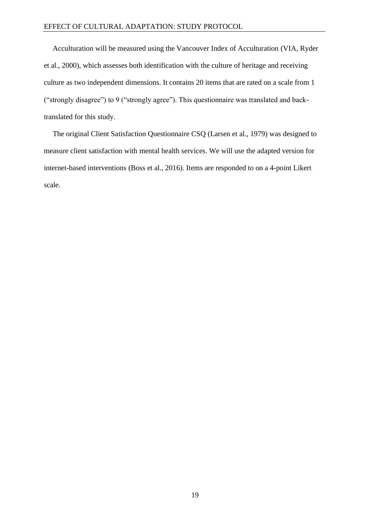Acculturation will be measured using the Vancouver Index of Acculturation (VIA, Ryder et al., 2000), which assesses both identification with the culture of heritage and receiving culture as two independent dimensions. It contains 20 items that are rated on a scale from 1 ("strongly disagree") to 9 ("strongly agree"). This questionnaire was translated and backtranslated for this study.

The original Client Satisfaction Questionnaire CSQ (Larsen et al., 1979) was designed to measure client satisfaction with mental health services. We will use the adapted version for internet-based interventions (Boss et al., 2016). Items are responded to on a 4-point Likert scale.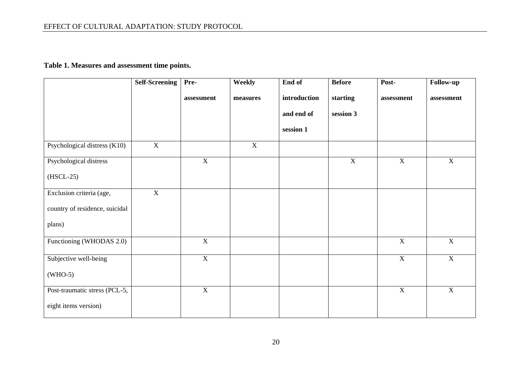# **Table 1. Measures and assessment time points.**

|                                | <b>Self-Screening</b> | Pre-        | Weekly   | End of       | <b>Before</b> | Post-          | <b>Follow-up</b> |
|--------------------------------|-----------------------|-------------|----------|--------------|---------------|----------------|------------------|
|                                |                       | assessment  | measures | introduction | starting      | assessment     | assessment       |
|                                |                       |             |          | and end of   | session 3     |                |                  |
|                                |                       |             |          | session 1    |               |                |                  |
| Psychological distress (K10)   | X                     |             | X        |              |               |                |                  |
| Psychological distress         |                       | X           |          |              | $\mathbf X$   | $\mathbf X$    | $\mathbf X$      |
| $(HSCL-25)$                    |                       |             |          |              |               |                |                  |
| Exclusion criteria (age,       | $\overline{X}$        |             |          |              |               |                |                  |
| country of residence, suicidal |                       |             |          |              |               |                |                  |
| plans)                         |                       |             |          |              |               |                |                  |
| Functioning (WHODAS 2.0)       |                       | $\mathbf X$ |          |              |               | $\overline{X}$ | $\mathbf X$      |
| Subjective well-being          |                       | X           |          |              |               | $\mathbf X$    | $\mathbf X$      |
| $(WHO-5)$                      |                       |             |          |              |               |                |                  |
| Post-traumatic stress (PCL-5,  |                       | X           |          |              |               | $\mathbf X$    | $\mathbf X$      |
| eight items version)           |                       |             |          |              |               |                |                  |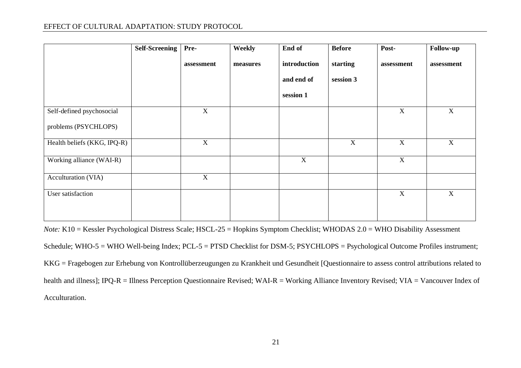# EFFECT OF CULTURAL ADAPTATION: STUDY PROTOCOL

|                             | <b>Self-Screening</b> | Pre-             | Weekly   | End of       | <b>Before</b> | Post-                     | Follow-up   |
|-----------------------------|-----------------------|------------------|----------|--------------|---------------|---------------------------|-------------|
|                             |                       | assessment       | measures | introduction | starting      | assessment                | assessment  |
|                             |                       |                  |          | and end of   | session 3     |                           |             |
|                             |                       |                  |          | session 1    |               |                           |             |
| Self-defined psychosocial   |                       | $\mathbf X$      |          |              |               | $\mathbf X$               | X           |
| problems (PSYCHLOPS)        |                       |                  |          |              |               |                           |             |
| Health beliefs (KKG, IPQ-R) |                       | $\boldsymbol{X}$ |          |              | $\mathbf X$   | $\boldsymbol{\mathrm{X}}$ | X           |
| Working alliance (WAI-R)    |                       |                  |          | $\mathbf X$  |               | $\mathbf X$               |             |
| Acculturation (VIA)         |                       | $\mathbf X$      |          |              |               |                           |             |
| User satisfaction           |                       |                  |          |              |               | $\mathbf X$               | $\mathbf X$ |
|                             |                       |                  |          |              |               |                           |             |

*Note:* K10 = Kessler Psychological Distress Scale; HSCL-25 = Hopkins Symptom Checklist; WHODAS 2.0 = WHO Disability Assessment Schedule; WHO-5 = WHO Well-being Index; PCL-5 = PTSD Checklist for DSM-5; PSYCHLOPS = Psychological Outcome Profiles instrument; KKG = Fragebogen zur Erhebung von Kontrollüberzeugungen zu Krankheit und Gesundheit [Questionnaire to assess control attributions related to health and illness]; IPQ-R = Illness Perception Questionnaire Revised; WAI-R = Working Alliance Inventory Revised; VIA = Vancouver Index of Acculturation.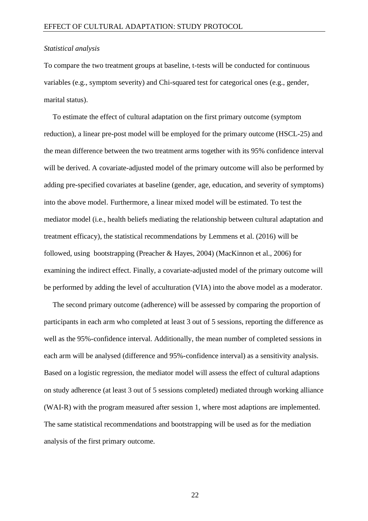#### *Statistical analysis*

To compare the two treatment groups at baseline, t-tests will be conducted for continuous variables (e.g., symptom severity) and Chi-squared test for categorical ones (e.g., gender, marital status).

To estimate the effect of cultural adaptation on the first primary outcome (symptom reduction), a linear pre-post model will be employed for the primary outcome (HSCL-25) and the mean difference between the two treatment arms together with its 95% confidence interval will be derived. A covariate-adjusted model of the primary outcome will also be performed by adding pre-specified covariates at baseline (gender, age, education, and severity of symptoms) into the above model. Furthermore, a linear mixed model will be estimated. To test the mediator model (i.e., health beliefs mediating the relationship between cultural adaptation and treatment efficacy), the statistical recommendations by Lemmens et al. (2016) will be followed, using bootstrapping (Preacher & Hayes, 2004) (MacKinnon et al., 2006) for examining the indirect effect. Finally, a covariate-adjusted model of the primary outcome will be performed by adding the level of acculturation (VIA) into the above model as a moderator.

The second primary outcome (adherence) will be assessed by comparing the proportion of participants in each arm who completed at least 3 out of 5 sessions, reporting the difference as well as the 95%-confidence interval. Additionally, the mean number of completed sessions in each arm will be analysed (difference and 95%-confidence interval) as a sensitivity analysis. Based on a logistic regression, the mediator model will assess the effect of cultural adaptions on study adherence (at least 3 out of 5 sessions completed) mediated through working alliance (WAI-R) with the program measured after session 1, where most adaptions are implemented. The same statistical recommendations and bootstrapping will be used as for the mediation analysis of the first primary outcome.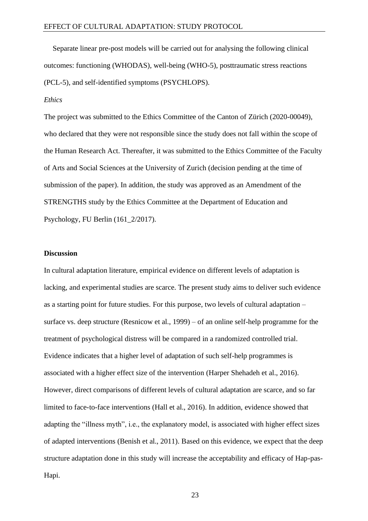Separate linear pre-post models will be carried out for analysing the following clinical outcomes: functioning (WHODAS), well-being (WHO-5), posttraumatic stress reactions (PCL-5), and self-identified symptoms (PSYCHLOPS).

# *Ethics*

The project was submitted to the Ethics Committee of the Canton of Zürich (2020-00049), who declared that they were not responsible since the study does not fall within the scope of the Human Research Act. Thereafter, it was submitted to the Ethics Committee of the Faculty of Arts and Social Sciences at the University of Zurich (decision pending at the time of submission of the paper). In addition, the study was approved as an Amendment of the STRENGTHS study by the Ethics Committee at the Department of Education and Psychology, FU Berlin (161\_2/2017).

#### **Discussion**

In cultural adaptation literature, empirical evidence on different levels of adaptation is lacking, and experimental studies are scarce. The present study aims to deliver such evidence as a starting point for future studies. For this purpose, two levels of cultural adaptation – surface vs. deep structure (Resnicow et al., 1999) – of an online self-help programme for the treatment of psychological distress will be compared in a randomized controlled trial. Evidence indicates that a higher level of adaptation of such self-help programmes is associated with a higher effect size of the intervention (Harper Shehadeh et al., 2016). However, direct comparisons of different levels of cultural adaptation are scarce, and so far limited to face-to-face interventions (Hall et al., 2016). In addition, evidence showed that adapting the "illness myth", i.e., the explanatory model, is associated with higher effect sizes of adapted interventions (Benish et al., 2011). Based on this evidence, we expect that the deep structure adaptation done in this study will increase the acceptability and efficacy of Hap-pas-Hapi.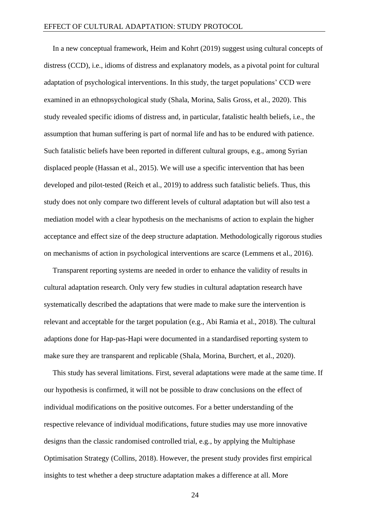In a new conceptual framework, Heim and Kohrt (2019) suggest using cultural concepts of distress (CCD), i.e., idioms of distress and explanatory models, as a pivotal point for cultural adaptation of psychological interventions. In this study, the target populations' CCD were examined in an ethnopsychological study (Shala, Morina, Salis Gross, et al., 2020). This study revealed specific idioms of distress and, in particular, fatalistic health beliefs, i.e., the assumption that human suffering is part of normal life and has to be endured with patience. Such fatalistic beliefs have been reported in different cultural groups, e.g., among Syrian displaced people (Hassan et al., 2015). We will use a specific intervention that has been developed and pilot-tested (Reich et al., 2019) to address such fatalistic beliefs. Thus, this study does not only compare two different levels of cultural adaptation but will also test a mediation model with a clear hypothesis on the mechanisms of action to explain the higher acceptance and effect size of the deep structure adaptation. Methodologically rigorous studies on mechanisms of action in psychological interventions are scarce (Lemmens et al., 2016).

Transparent reporting systems are needed in order to enhance the validity of results in cultural adaptation research. Only very few studies in cultural adaptation research have systematically described the adaptations that were made to make sure the intervention is relevant and acceptable for the target population (e.g., Abi Ramia et al., 2018). The cultural adaptions done for Hap-pas-Hapi were documented in a standardised reporting system to make sure they are transparent and replicable (Shala, Morina, Burchert, et al., 2020).

This study has several limitations. First, several adaptations were made at the same time. If our hypothesis is confirmed, it will not be possible to draw conclusions on the effect of individual modifications on the positive outcomes. For a better understanding of the respective relevance of individual modifications, future studies may use more innovative designs than the classic randomised controlled trial, e.g., by applying the Multiphase Optimisation Strategy (Collins, 2018). However, the present study provides first empirical insights to test whether a deep structure adaptation makes a difference at all. More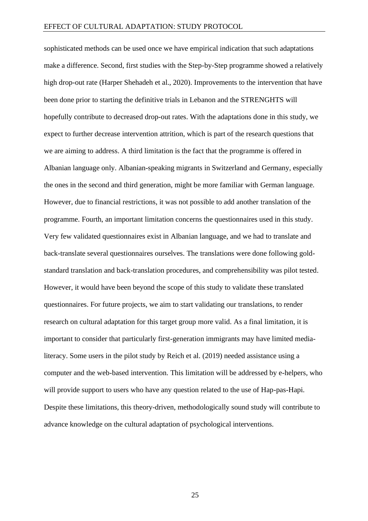sophisticated methods can be used once we have empirical indication that such adaptations make a difference. Second, first studies with the Step-by-Step programme showed a relatively high drop-out rate (Harper Shehadeh et al., 2020). Improvements to the intervention that have been done prior to starting the definitive trials in Lebanon and the STRENGHTS will hopefully contribute to decreased drop-out rates. With the adaptations done in this study, we expect to further decrease intervention attrition, which is part of the research questions that we are aiming to address. A third limitation is the fact that the programme is offered in Albanian language only. Albanian-speaking migrants in Switzerland and Germany, especially the ones in the second and third generation, might be more familiar with German language. However, due to financial restrictions, it was not possible to add another translation of the programme. Fourth, an important limitation concerns the questionnaires used in this study. Very few validated questionnaires exist in Albanian language, and we had to translate and back-translate several questionnaires ourselves. The translations were done following goldstandard translation and back-translation procedures, and comprehensibility was pilot tested. However, it would have been beyond the scope of this study to validate these translated questionnaires. For future projects, we aim to start validating our translations, to render research on cultural adaptation for this target group more valid. As a final limitation, it is important to consider that particularly first-generation immigrants may have limited medialiteracy. Some users in the pilot study by Reich et al. (2019) needed assistance using a computer and the web-based intervention. This limitation will be addressed by e-helpers, who will provide support to users who have any question related to the use of Hap-pas-Hapi. Despite these limitations, this theory-driven, methodologically sound study will contribute to advance knowledge on the cultural adaptation of psychological interventions.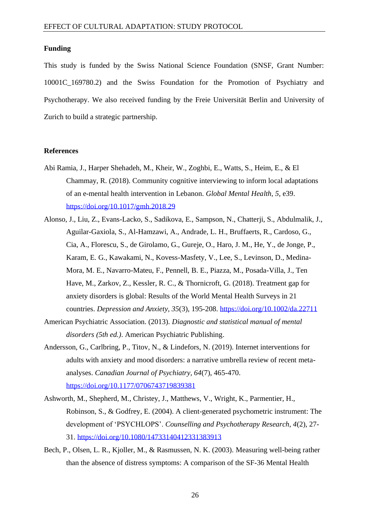#### **Funding**

This study is funded by the Swiss National Science Foundation (SNSF, Grant Number: 10001C\_169780.2) and the Swiss Foundation for the Promotion of Psychiatry and Psychotherapy. We also received funding by the Freie Universität Berlin and University of Zurich to build a strategic partnership.

#### **References**

- Abi Ramia, J., Harper Shehadeh, M., Kheir, W., Zoghbi, E., Watts, S., Heim, E., & El Chammay, R. (2018). Community cognitive interviewing to inform local adaptations of an e-mental health intervention in Lebanon. *Global Mental Health, 5*, e39. <https://doi.org/10.1017/gmh.2018.29>
- Alonso, J., Liu, Z., Evans-Lacko, S., Sadikova, E., Sampson, N., Chatterji, S., Abdulmalik, J., Aguilar-Gaxiola, S., Al-Hamzawi, A., Andrade, L. H., Bruffaerts, R., Cardoso, G., Cia, A., Florescu, S., de Girolamo, G., Gureje, O., Haro, J. M., He, Y., de Jonge, P., Karam, E. G., Kawakami, N., Kovess-Masfety, V., Lee, S., Levinson, D., Medina-Mora, M. E., Navarro-Mateu, F., Pennell, B. E., Piazza, M., Posada-Villa, J., Ten Have, M., Zarkov, Z., Kessler, R. C., & Thornicroft, G. (2018). Treatment gap for anxiety disorders is global: Results of the World Mental Health Surveys in 21 countries. *Depression and Anxiety, 35*(3), 195-208.<https://doi.org/10.1002/da.22711>
- American Psychiatric Association. (2013). *Diagnostic and statistical manual of mental disorders (5th ed.)*. American Psychiatric Publishing.
- Andersson, G., Carlbring, P., Titov, N., & Lindefors, N. (2019). Internet interventions for adults with anxiety and mood disorders: a narrative umbrella review of recent metaanalyses. *Canadian Journal of Psychiatry, 64*(7), 465-470. <https://doi.org/10.1177/0706743719839381>
- Ashworth, M., Shepherd, M., Christey, J., Matthews, V., Wright, K., Parmentier, H., Robinson, S., & Godfrey, E. (2004). A client-generated psychometric instrument: The development of 'PSYCHLOPS'. *Counselling and Psychotherapy Research, 4*(2), 27- 31.<https://doi.org/10.1080/14733140412331383913>
- Bech, P., Olsen, L. R., Kjoller, M., & Rasmussen, N. K. (2003). Measuring well-being rather than the absence of distress symptoms: A comparison of the SF-36 Mental Health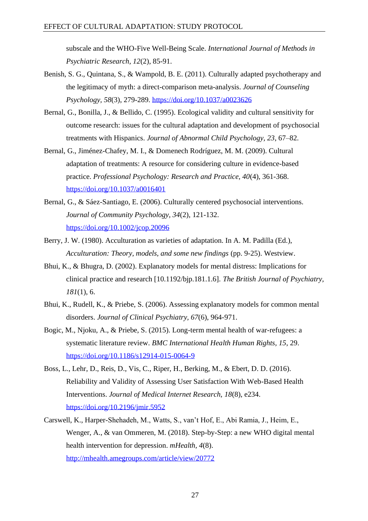subscale and the WHO-Five Well-Being Scale. *International Journal of Methods in Psychiatric Research, 12*(2), 85-91.

- Benish, S. G., Quintana, S., & Wampold, B. E. (2011). Culturally adapted psychotherapy and the legitimacy of myth: a direct-comparison meta-analysis. *Journal of Counseling Psychology, 58*(3), 279-289.<https://doi.org/10.1037/a0023626>
- Bernal, G., Bonilla, J., & Bellido, C. (1995). Ecological validity and cultural sensitivity for outcome research: issues for the cultural adaptation and development of psychosocial treatments with Hispanics. *Journal of Abnormal Child Psychology, 23*, 67–82.
- Bernal, G., Jiménez-Chafey, M. I., & Domenech Rodríguez, M. M. (2009). Cultural adaptation of treatments: A resource for considering culture in evidence-based practice. *Professional Psychology: Research and Practice, 40*(4), 361-368. <https://doi.org/10.1037/a0016401>
- Bernal, G., & Sáez-Santiago, E. (2006). Culturally centered psychosocial interventions. *Journal of Community Psychology, 34*(2), 121-132. <https://doi.org/10.1002/jcop.20096>
- Berry, J. W. (1980). Acculturation as varieties of adaptation. In A. M. Padilla (Ed.), *Acculturation: Theory, models, and some new findings* (pp. 9-25). Westview.
- Bhui, K., & Bhugra, D. (2002). Explanatory models for mental distress: Implications for clinical practice and research [10.1192/bjp.181.1.6]. *The British Journal of Psychiatry, 181*(1), 6.
- Bhui, K., Rudell, K., & Priebe, S. (2006). Assessing explanatory models for common mental disorders. *Journal of Clinical Psychiatry, 67*(6), 964-971.
- Bogic, M., Njoku, A., & Priebe, S. (2015). Long-term mental health of war-refugees: a systematic literature review. *BMC International Health Human Rights, 15*, 29. <https://doi.org/10.1186/s12914-015-0064-9>
- Boss, L., Lehr, D., Reis, D., Vis, C., Riper, H., Berking, M., & Ebert, D. D. (2016). Reliability and Validity of Assessing User Satisfaction With Web-Based Health Interventions. *Journal of Medical Internet Research, 18*(8), e234. <https://doi.org/10.2196/jmir.5952>
- Carswell, K., Harper-Shehadeh, M., Watts, S., van't Hof, E., Abi Ramia, J., Heim, E., Wenger, A., & van Ommeren, M. (2018). Step-by-Step: a new WHO digital mental health intervention for depression. *mHealth, 4*(8). <http://mhealth.amegroups.com/article/view/20772>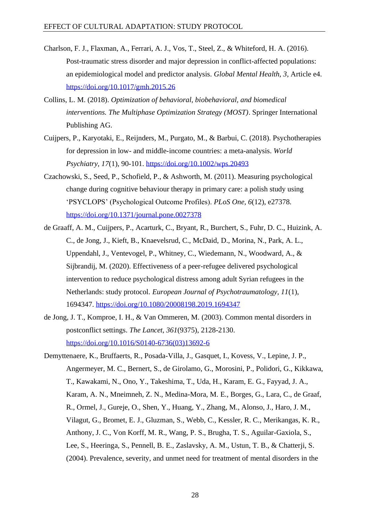- Charlson, F. J., Flaxman, A., Ferrari, A. J., Vos, T., Steel, Z., & Whiteford, H. A. (2016). Post-traumatic stress disorder and major depression in conflict-affected populations: an epidemiological model and predictor analysis. *Global Mental Health, 3*, Article e4. <https://doi.org/10.1017/gmh.2015.26>
- Collins, L. M. (2018). *Optimization of behavioral, biobehavioral, and biomedical interventions. The Multiphase Optimization Strategy (MOST)*. Springer International Publishing AG.
- Cuijpers, P., Karyotaki, E., Reijnders, M., Purgato, M., & Barbui, C. (2018). Psychotherapies for depression in low- and middle-income countries: a meta-analysis. *World Psychiatry, 17*(1), 90-101.<https://doi.org/10.1002/wps.20493>
- Czachowski, S., Seed, P., Schofield, P., & Ashworth, M. (2011). Measuring psychological change during cognitive behaviour therapy in primary care: a polish study using 'PSYCLOPS' (Psychological Outcome Profiles). *PLoS One, 6*(12), e27378. <https://doi.org/10.1371/journal.pone.0027378>
- de Graaff, A. M., Cuijpers, P., Acarturk, C., Bryant, R., Burchert, S., Fuhr, D. C., Huizink, A. C., de Jong, J., Kieft, B., Knaevelsrud, C., McDaid, D., Morina, N., Park, A. L., Uppendahl, J., Ventevogel, P., Whitney, C., Wiedemann, N., Woodward, A., & Sijbrandij, M. (2020). Effectiveness of a peer-refugee delivered psychological intervention to reduce psychological distress among adult Syrian refugees in the Netherlands: study protocol. *European Journal of Psychotraumatology, 11*(1), 1694347.<https://doi.org/10.1080/20008198.2019.1694347>
- de Jong, J. T., Komproe, I. H., & Van Ommeren, M. (2003). Common mental disorders in postconflict settings. *The Lancet, 361*(9375), 2128-2130. [https://doi.org/10.1016/S0140-6736\(03\)13692-6](https://doi.org/10.1016/S0140-6736(03)13692-6)
- Demyttenaere, K., Bruffaerts, R., Posada-Villa, J., Gasquet, I., Kovess, V., Lepine, J. P., Angermeyer, M. C., Bernert, S., de Girolamo, G., Morosini, P., Polidori, G., Kikkawa, T., Kawakami, N., Ono, Y., Takeshima, T., Uda, H., Karam, E. G., Fayyad, J. A., Karam, A. N., Mneimneh, Z. N., Medina-Mora, M. E., Borges, G., Lara, C., de Graaf, R., Ormel, J., Gureje, O., Shen, Y., Huang, Y., Zhang, M., Alonso, J., Haro, J. M., Vilagut, G., Bromet, E. J., Gluzman, S., Webb, C., Kessler, R. C., Merikangas, K. R., Anthony, J. C., Von Korff, M. R., Wang, P. S., Brugha, T. S., Aguilar-Gaxiola, S., Lee, S., Heeringa, S., Pennell, B. E., Zaslavsky, A. M., Ustun, T. B., & Chatterji, S. (2004). Prevalence, severity, and unmet need for treatment of mental disorders in the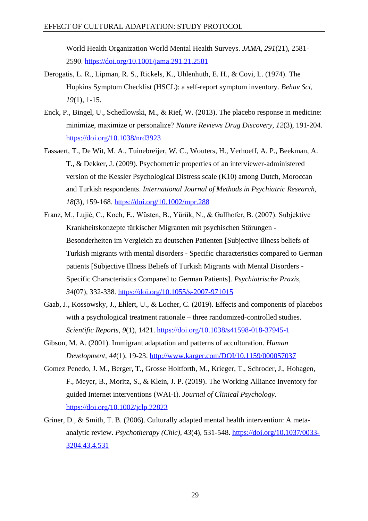World Health Organization World Mental Health Surveys. *JAMA, 291*(21), 2581- 2590.<https://doi.org/10.1001/jama.291.21.2581>

- Derogatis, L. R., Lipman, R. S., Rickels, K., Uhlenhuth, E. H., & Covi, L. (1974). The Hopkins Symptom Checklist (HSCL): a self-report symptom inventory. *Behav Sci, 19*(1), 1-15.
- Enck, P., Bingel, U., Schedlowski, M., & Rief, W. (2013). The placebo response in medicine: minimize, maximize or personalize? *Nature Reviews Drug Discovery, 12*(3), 191-204. <https://doi.org/10.1038/nrd3923>
- Fassaert, T., De Wit, M. A., Tuinebreijer, W. C., Wouters, H., Verhoeff, A. P., Beekman, A. T., & Dekker, J. (2009). Psychometric properties of an interviewer-administered version of the Kessler Psychological Distress scale (K10) among Dutch, Moroccan and Turkish respondents. *International Journal of Methods in Psychiatric Research, 18*(3), 159-168.<https://doi.org/10.1002/mpr.288>
- Franz, M., Lujić, C., Koch, E., Wüsten, B., Yürük, N., & Gallhofer, B. (2007). Subjektive Krankheitskonzepte türkischer Migranten mit psychischen Störungen - Besonderheiten im Vergleich zu deutschen Patienten [Subjective illness beliefs of Turkish migrants with mental disorders - Specific characteristics compared to German patients [Subjective Illness Beliefs of Turkish Migrants with Mental Disorders - Specific Characteristics Compared to German Patients]. *Psychiatrische Praxis, 34*(07), 332-338.<https://doi.org/10.1055/s-2007-971015>
- Gaab, J., Kossowsky, J., Ehlert, U., & Locher, C. (2019). Effects and components of placebos with a psychological treatment rationale – three randomized-controlled studies. *Scientific Reports, 9*(1), 1421.<https://doi.org/10.1038/s41598-018-37945-1>
- Gibson, M. A. (2001). Immigrant adaptation and patterns of acculturation. *Human Development, 44*(1), 19-23.<http://www.karger.com/DOI/10.1159/000057037>
- Gomez Penedo, J. M., Berger, T., Grosse Holtforth, M., Krieger, T., Schroder, J., Hohagen, F., Meyer, B., Moritz, S., & Klein, J. P. (2019). The Working Alliance Inventory for guided Internet interventions (WAI-I). *Journal of Clinical Psychology*. <https://doi.org/10.1002/jclp.22823>
- Griner, D., & Smith, T. B. (2006). Culturally adapted mental health intervention: A metaanalytic review. *Psychotherapy (Chic), 43*(4), 531-548. [https://doi.org/10.1037/0033-](https://doi.org/10.1037/0033-3204.43.4.531) [3204.43.4.531](https://doi.org/10.1037/0033-3204.43.4.531)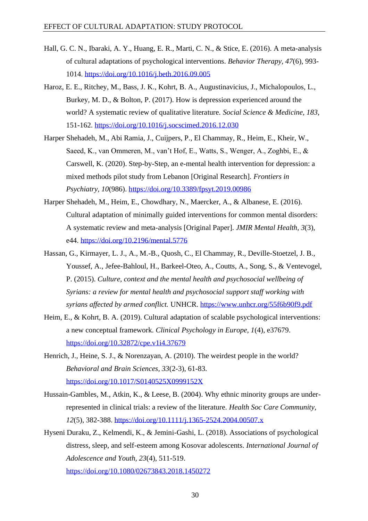- Hall, G. C. N., Ibaraki, A. Y., Huang, E. R., Marti, C. N., & Stice, E. (2016). A meta-analysis of cultural adaptations of psychological interventions. *Behavior Therapy, 47*(6), 993- 1014.<https://doi.org/10.1016/j.beth.2016.09.005>
- Haroz, E. E., Ritchey, M., Bass, J. K., Kohrt, B. A., Augustinavicius, J., Michalopoulos, L., Burkey, M. D., & Bolton, P. (2017). How is depression experienced around the world? A systematic review of qualitative literature. *Social Science & Medicine, 183*, 151-162.<https://doi.org/10.1016/j.socscimed.2016.12.030>
- Harper Shehadeh, M., Abi Ramia, J., Cuijpers, P., El Chammay, R., Heim, E., Kheir, W., Saeed, K., van Ommeren, M., van't Hof, E., Watts, S., Wenger, A., Zoghbi, E., & Carswell, K. (2020). Step-by-Step, an e-mental health intervention for depression: a mixed methods pilot study from Lebanon [Original Research]. *Frontiers in Psychiatry, 10*(986).<https://doi.org/10.3389/fpsyt.2019.00986>
- Harper Shehadeh, M., Heim, E., Chowdhary, N., Maercker, A., & Albanese, E. (2016). Cultural adaptation of minimally guided interventions for common mental disorders: A systematic review and meta-analysis [Original Paper]. *JMIR Mental Health, 3*(3), e44.<https://doi.org/10.2196/mental.5776>
- Hassan, G., Kirmayer, L. J., A., M.-B., Quosh, C., El Chammay, R., Deville-Stoetzel, J. B., Youssef, A., Jefee-Bahloul, H., Barkeel-Oteo, A., Coutts, A., Song, S., & Ventevogel, P. (2015). *Culture, context and the mental health and psychosocial wellbeing of Syrians: a review for mental health and psychosocial support staff working with syrians affected by armed conflict.* UNHCR.<https://www.unhcr.org/55f6b90f9.pdf>
- Heim, E., & Kohrt, B. A. (2019). Cultural adaptation of scalable psychological interventions: a new conceptual framework. *Clinical Psychology in Europe, 1*(4), e37679. <https://doi.org/10.32872/cpe.v1i4.37679>
- Henrich, J., Heine, S. J., & Norenzayan, A. (2010). The weirdest people in the world? *Behavioral and Brain Sciences, 33*(2-3), 61-83. <https://doi.org/10.1017/S0140525X0999152X>
- Hussain-Gambles, M., Atkin, K., & Leese, B. (2004). Why ethnic minority groups are underrepresented in clinical trials: a review of the literature. *Health Soc Care Community, 12*(5), 382-388.<https://doi.org/10.1111/j.1365-2524.2004.00507.x>
- Hyseni Duraku, Z., Kelmendi, K., & Jemini-Gashi, L. (2018). Associations of psychological distress, sleep, and self-esteem among Kosovar adolescents. *International Journal of Adolescence and Youth, 23*(4), 511-519. <https://doi.org/10.1080/02673843.2018.1450272>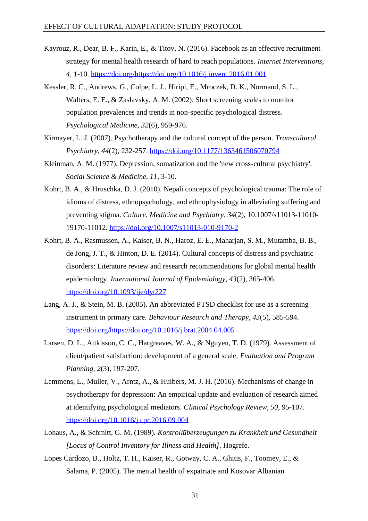- Kayrouz, R., Dear, B. F., Karin, E., & Titov, N. (2016). Facebook as an effective recruitment strategy for mental health research of hard to reach populations. *Internet Interventions, 4*, 1-10. [https://doi.org/https://doi.org/10.1016/j.invent.2016.01.001](https://doi.org/https:/doi.org/10.1016/j.invent.2016.01.001)
- Kessler, R. C., Andrews, G., Colpe, L. J., Hiripi, E., Mroczek, D. K., Normand, S. L., Walters, E. E., & Zaslavsky, A. M. (2002). Short screening scales to monitor population prevalences and trends in non-specific psychological distress. *Psychological Medicine, 32*(6), 959-976.
- Kirmayer, L. J. (2007). Psychotherapy and the cultural concept of the person. *Transcultural Psychiatry, 44*(2), 232-257.<https://doi.org/10.1177/1363461506070794>
- Kleinman, A. M. (1977). Depression, somatization and the 'new cross-cultural psychiatry'. *Social Science & Medicine, 11*, 3-10.
- Kohrt, B. A., & Hruschka, D. J. (2010). Nepali concepts of psychological trauma: The role of idioms of distress, ethnopsychology, and ethnophysiology in alleviating suffering and preventing stigma. *Culture, Medicine and Psychiatry, 34*(2), 10.1007/s11013-11010- 19170-11012.<https://doi.org/10.1007/s11013-010-9170-2>
- Kohrt, B. A., Rasmussen, A., Kaiser, B. N., Haroz, E. E., Maharjan, S. M., Mutamba, B. B., de Jong, J. T., & Hinton, D. E. (2014). Cultural concepts of distress and psychiatric disorders: Literature review and research recommendations for global mental health epidemiology. *International Journal of Epidemiology, 43*(2), 365-406. <https://doi.org/10.1093/ije/dyt227>
- Lang, A. J., & Stein, M. B. (2005). An abbreviated PTSD checklist for use as a screening instrument in primary care. *Behaviour Research and Therapy, 43*(5), 585-594. [https://doi.org/https://doi.org/10.1016/j.brat.2004.04.005](https://doi.org/https:/doi.org/10.1016/j.brat.2004.04.005)
- Larsen, D. L., Attkisson, C. C., Hargreaves, W. A., & Nguyen, T. D. (1979). Assessment of client/patient satisfaction: development of a general scale. *Evaluation and Program Planning, 2*(3), 197-207.
- Lemmens, L., Muller, V., Arntz, A., & Huibers, M. J. H. (2016). Mechanisms of change in psychotherapy for depression: An empirical update and evaluation of research aimed at identifying psychological mediators. *Clinical Psychology Review, 50*, 95-107. <https://doi.org/10.1016/j.cpr.2016.09.004>
- Lohaus, A., & Schmitt, G. M. (1989). *Kontrollüberzeugungen zu Krankheit und Gesundheit [Locus of Control Inventory for Illness and Health]*. Hogrefe.
- Lopes Cardozo, B., Holtz, T. H., Kaiser, R., Gotway, C. A., Ghitis, F., Toomey, E., & Salama, P. (2005). The mental health of expatriate and Kosovar Albanian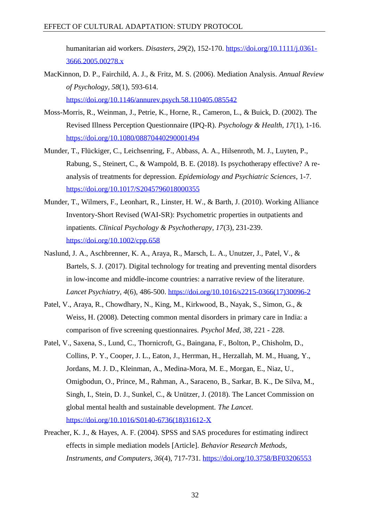humanitarian aid workers. *Disasters, 29*(2), 152-170. [https://doi.org/10.1111/j.0361-](https://doi.org/10.1111/j.0361-3666.2005.00278.x) [3666.2005.00278.x](https://doi.org/10.1111/j.0361-3666.2005.00278.x)

- MacKinnon, D. P., Fairchild, A. J., & Fritz, M. S. (2006). Mediation Analysis. *Annual Review of Psychology, 58*(1), 593-614. <https://doi.org/10.1146/annurev.psych.58.110405.085542>
- Moss-Morris, R., Weinman, J., Petrie, K., Horne, R., Cameron, L., & Buick, D. (2002). The Revised Illness Perception Questionnaire (IPQ-R). *Psychology & Health, 17*(1), 1-16. <https://doi.org/10.1080/08870440290001494>
- Munder, T., Flückiger, C., Leichsenring, F., Abbass, A. A., Hilsenroth, M. J., Luyten, P., Rabung, S., Steinert, C., & Wampold, B. E. (2018). Is psychotherapy effective? A reanalysis of treatments for depression. *Epidemiology and Psychiatric Sciences*, 1-7. <https://doi.org/10.1017/S2045796018000355>
- Munder, T., Wilmers, F., Leonhart, R., Linster, H. W., & Barth, J. (2010). Working Alliance Inventory-Short Revised (WAI-SR): Psychometric properties in outpatients and inpatients. *Clinical Psychology & Psychotherapy, 17*(3), 231-239. <https://doi.org/10.1002/cpp.658>
- Naslund, J. A., Aschbrenner, K. A., Araya, R., Marsch, L. A., Unutzer, J., Patel, V., & Bartels, S. J. (2017). Digital technology for treating and preventing mental disorders in low-income and middle-income countries: a narrative review of the literature. *Lancet Psychiatry, 4*(6), 486-500. [https://doi.org/10.1016/s2215-0366\(17\)30096-2](https://doi.org/10.1016/s2215-0366(17)30096-2)
- Patel, V., Araya, R., Chowdhary, N., King, M., Kirkwood, B., Nayak, S., Simon, G., & Weiss, H. (2008). Detecting common mental disorders in primary care in India: a comparison of five screening questionnaires. *Psychol Med, 38*, 221 - 228.
- Patel, V., Saxena, S., Lund, C., Thornicroft, G., Baingana, F., Bolton, P., Chisholm, D., Collins, P. Y., Cooper, J. L., Eaton, J., Herrman, H., Herzallah, M. M., Huang, Y., Jordans, M. J. D., Kleinman, A., Medina-Mora, M. E., Morgan, E., Niaz, U., Omigbodun, O., Prince, M., Rahman, A., Saraceno, B., Sarkar, B. K., De Silva, M., Singh, I., Stein, D. J., Sunkel, C., & Unützer, J. (2018). The Lancet Commission on global mental health and sustainable development. *The Lancet*. [https://doi.org/10.1016/S0140-6736\(18\)31612-X](https://doi.org/10.1016/S0140-6736(18)31612-X)
- Preacher, K. J., & Hayes, A. F. (2004). SPSS and SAS procedures for estimating indirect effects in simple mediation models [Article]. *Behavior Research Methods, Instruments, and Computers, 36*(4), 717-731.<https://doi.org/10.3758/BF03206553>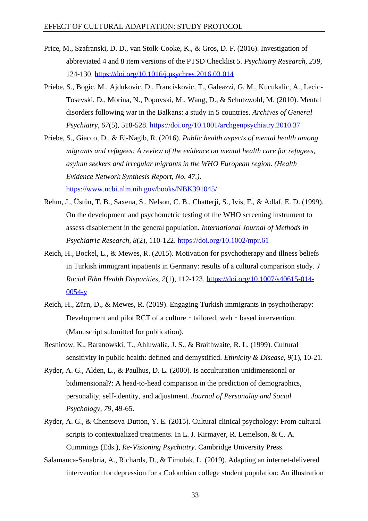- Price, M., Szafranski, D. D., van Stolk-Cooke, K., & Gros, D. F. (2016). Investigation of abbreviated 4 and 8 item versions of the PTSD Checklist 5. *Psychiatry Research, 239*, 124-130.<https://doi.org/10.1016/j.psychres.2016.03.014>
- Priebe, S., Bogic, M., Ajdukovic, D., Franciskovic, T., Galeazzi, G. M., Kucukalic, A., Lecic-Tosevski, D., Morina, N., Popovski, M., Wang, D., & Schutzwohl, M. (2010). Mental disorders following war in the Balkans: a study in 5 countries. *Archives of General Psychiatry, 67*(5), 518-528.<https://doi.org/10.1001/archgenpsychiatry.2010.37>
- Priebe, S., Giacco, D., & El-Nagib, R. (2016). *Public health aspects of mental health among migrants and refugees: A review of the evidence on mental health care for refugees, asylum seekers and irregular migrants in the WHO European region. (Health Evidence Network Synthesis Report, No. 47.)*. <https://www.ncbi.nlm.nih.gov/books/NBK391045/>
- Rehm, J., Üstün, T. B., Saxena, S., Nelson, C. B., Chatterji, S., Ivis, F., & Adlaf, E. D. (1999). On the development and psychometric testing of the WHO screening instrument to assess disablement in the general population. *International Journal of Methods in Psychiatric Research, 8*(2), 110-122.<https://doi.org/10.1002/mpr.61>
- Reich, H., Bockel, L., & Mewes, R. (2015). Motivation for psychotherapy and illness beliefs in Turkish immigrant inpatients in Germany: results of a cultural comparison study. *J Racial Ethn Health Disparities, 2*(1), 112-123. [https://doi.org/10.1007/s40615-014-](https://doi.org/10.1007/s40615-014-0054-y) [0054-y](https://doi.org/10.1007/s40615-014-0054-y)
- Reich, H., Zürn, D., & Mewes, R. (2019). Engaging Turkish immigrants in psychotherapy: Development and pilot RCT of a culture - tailored, web - based intervention. (Manuscript submitted for publication).
- Resnicow, K., Baranowski, T., Ahluwalia, J. S., & Braithwaite, R. L. (1999). Cultural sensitivity in public health: defined and demystified. *Ethnicity & Disease, 9*(1), 10-21.
- Ryder, A. G., Alden, L., & Paulhus, D. L. (2000). Is acculturation unidimensional or bidimensional?: A head-to-head comparison in the prediction of demographics, personality, self-identity, and adjustment. *Journal of Personality and Social Psychology, 79*, 49-65.
- Ryder, A. G., & Chentsova-Dutton, Y. E. (2015). Cultural clinical psychology: From cultural scripts to contextualized treatments. In L. J. Kirmayer, R. Lemelson, & C. A. Cummings (Eds.), *Re-Visioning Psychiatry*. Cambridge University Press.
- Salamanca-Sanabria, A., Richards, D., & Timulak, L. (2019). Adapting an internet-delivered intervention for depression for a Colombian college student population: An illustration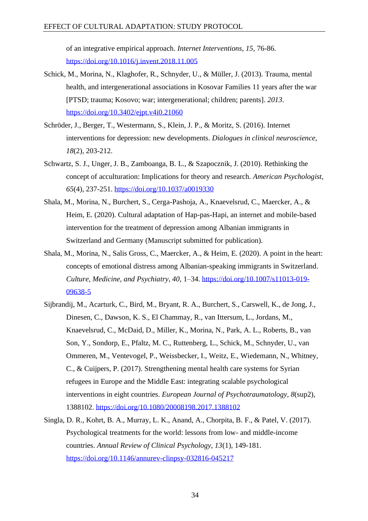of an integrative empirical approach. *Internet Interventions, 15*, 76-86. <https://doi.org/10.1016/j.invent.2018.11.005>

- Schick, M., Morina, N., Klaghofer, R., Schnyder, U., & Müller, J. (2013). Trauma, mental health, and intergenerational associations in Kosovar Families 11 years after the war [PTSD; trauma; Kosovo; war; intergenerational; children; parents]. *2013*. <https://doi.org/10.3402/ejpt.v4i0.21060>
- Schröder, J., Berger, T., Westermann, S., Klein, J. P., & Moritz, S. (2016). Internet interventions for depression: new developments. *Dialogues in clinical neuroscience, 18*(2), 203-212.
- Schwartz, S. J., Unger, J. B., Zamboanga, B. L., & Szapocznik, J. (2010). Rethinking the concept of acculturation: Implications for theory and research. *American Psychologist, 65*(4), 237-251.<https://doi.org/10.1037/a0019330>
- Shala, M., Morina, N., Burchert, S., Cerga-Pashoja, A., Knaevelsrud, C., Maercker, A., & Heim, E. (2020). Cultural adaptation of Hap-pas-Hapi, an internet and mobile-based intervention for the treatment of depression among Albanian immigrants in Switzerland and Germany (Manuscript submitted for publication).
- Shala, M., Morina, N., Salis Gross, C., Maercker, A., & Heim, E. (2020). A point in the heart: concepts of emotional distress among Albanian-speaking immigrants in Switzerland. *Culture, Medicine, and Psychiatry, 40*, 1–34. [https://doi.org/10.1007/s11013-019-](https://doi.org/10.1007/s11013-019-09638-5) [09638-5](https://doi.org/10.1007/s11013-019-09638-5)
- Sijbrandij, M., Acarturk, C., Bird, M., Bryant, R. A., Burchert, S., Carswell, K., de Jong, J., Dinesen, C., Dawson, K. S., El Chammay, R., van Ittersum, L., Jordans, M., Knaevelsrud, C., McDaid, D., Miller, K., Morina, N., Park, A. L., Roberts, B., van Son, Y., Sondorp, E., Pfaltz, M. C., Ruttenberg, L., Schick, M., Schnyder, U., van Ommeren, M., Ventevogel, P., Weissbecker, I., Weitz, E., Wiedemann, N., Whitney, C., & Cuijpers, P. (2017). Strengthening mental health care systems for Syrian refugees in Europe and the Middle East: integrating scalable psychological interventions in eight countries. *European Journal of Psychotraumatology, 8*(sup2), 1388102.<https://doi.org/10.1080/20008198.2017.1388102>
- Singla, D. R., Kohrt, B. A., Murray, L. K., Anand, A., Chorpita, B. F., & Patel, V. (2017). Psychological treatments for the world: lessons from low- and middle-income countries. *Annual Review of Clinical Psychology, 13*(1), 149-181. <https://doi.org/10.1146/annurev-clinpsy-032816-045217>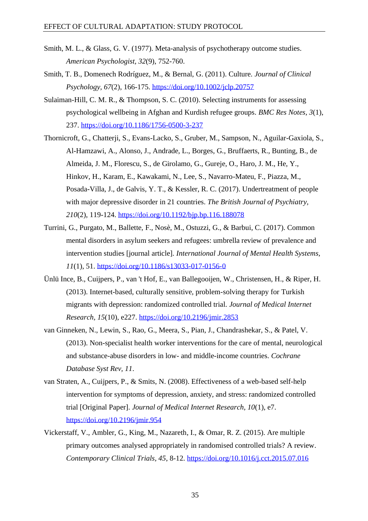- Smith, M. L., & Glass, G. V. (1977). Meta-analysis of psychotherapy outcome studies. *American Psychologist, 32*(9), 752-760.
- Smith, T. B., Domenech Rodríguez, M., & Bernal, G. (2011). Culture. *Journal of Clinical Psychology, 67*(2), 166-175.<https://doi.org/10.1002/jclp.20757>
- Sulaiman-Hill, C. M. R., & Thompson, S. C. (2010). Selecting instruments for assessing psychological wellbeing in Afghan and Kurdish refugee groups. *BMC Res Notes, 3*(1), 237.<https://doi.org/10.1186/1756-0500-3-237>
- Thornicroft, G., Chatterji, S., Evans-Lacko, S., Gruber, M., Sampson, N., Aguilar-Gaxiola, S., Al-Hamzawi, A., Alonso, J., Andrade, L., Borges, G., Bruffaerts, R., Bunting, B., de Almeida, J. M., Florescu, S., de Girolamo, G., Gureje, O., Haro, J. M., He, Y., Hinkov, H., Karam, E., Kawakami, N., Lee, S., Navarro-Mateu, F., Piazza, M., Posada-Villa, J., de Galvis, Y. T., & Kessler, R. C. (2017). Undertreatment of people with major depressive disorder in 21 countries. *The British Journal of Psychiatry, 210*(2), 119-124.<https://doi.org/10.1192/bjp.bp.116.188078>
- Turrini, G., Purgato, M., Ballette, F., Nosè, M., Ostuzzi, G., & Barbui, C. (2017). Common mental disorders in asylum seekers and refugees: umbrella review of prevalence and intervention studies [journal article]. *International Journal of Mental Health Systems, 11*(1), 51.<https://doi.org/10.1186/s13033-017-0156-0>
- Ünlü Ince, B., Cuijpers, P., van 't Hof, E., van Ballegooijen, W., Christensen, H., & Riper, H. (2013). Internet-based, culturally sensitive, problem-solving therapy for Turkish migrants with depression: randomized controlled trial. *Journal of Medical Internet Research, 15*(10), e227.<https://doi.org/10.2196/jmir.2853>
- van Ginneken, N., Lewin, S., Rao, G., Meera, S., Pian, J., Chandrashekar, S., & Patel, V. (2013). Non-specialist health worker interventions for the care of mental, neurological and substance-abuse disorders in low- and middle-income countries. *Cochrane Database Syst Rev, 11*.
- van Straten, A., Cuijpers, P., & Smits, N. (2008). Effectiveness of a web-based self-help intervention for symptoms of depression, anxiety, and stress: randomized controlled trial [Original Paper]. *Journal of Medical Internet Research, 10*(1), e7. <https://doi.org/10.2196/jmir.954>
- Vickerstaff, V., Ambler, G., King, M., Nazareth, I., & Omar, R. Z. (2015). Are multiple primary outcomes analysed appropriately in randomised controlled trials? A review. *Contemporary Clinical Trials, 45*, 8-12.<https://doi.org/10.1016/j.cct.2015.07.016>